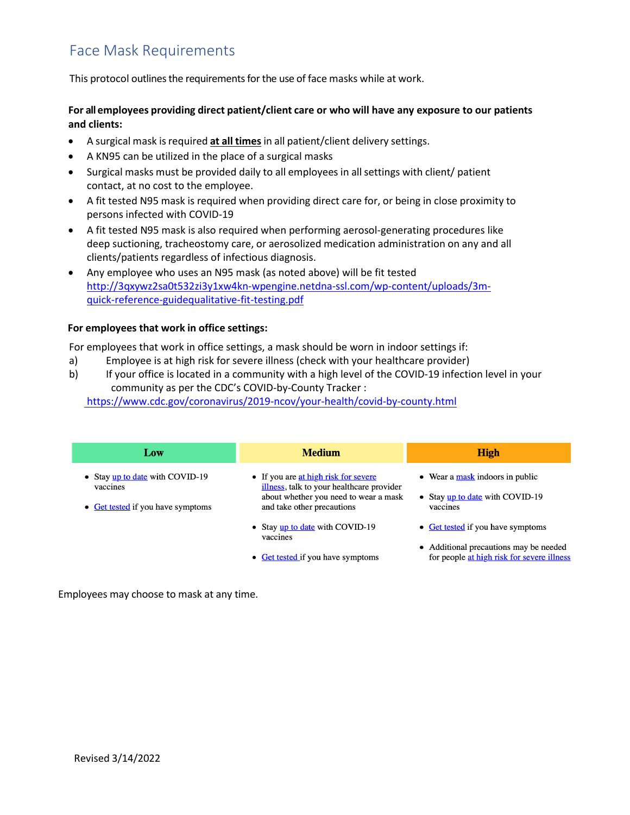## Face Mask Requirements

This protocol outlines the requirements for the use of face masks while at work.

### **For all employees providing direct patient/client care or who will have any exposure to our patients and clients:**

- A surgical mask isrequired **at all times**in all patient/client delivery settings.
- A KN95 can be utilized in the place of a surgical masks
- Surgical masks must be provided daily to all employees in allsettings with client/ patient contact, at no cost to the employee.
- A fit tested N95 mask is required when providing direct care for, or being in close proximity to persons infected with COVID-19
- A fit tested N95 mask is also required when performing aerosol-generating procedures like deep suctioning, tracheostomy care, or aerosolized medication administration on any and all clients/patients regardless of infectious diagnosis.
- Any employee who uses an N95 mask (as noted above) will be fit tested http://3qxywz2sa0t532zi3y1xw4kn-wpengine.netdna-ssl.com/wp-content/uploads/3mquick-reference-guidequalitative-fit-testing.pdf

#### **For [employees](http://3qxywz2sa0t532zi3y1xw4kn-wpengine.netdna-ssl.com/wp-content/uploads/3m-quick-reference-guidequalitative-fit-testing.pdf) that work in office settings:**

[For employees that work in office settings, a mask sh](http://3qxywz2sa0t532zi3y1xw4kn-wpengine.netdna-ssl.com/wp-content/uploads/3m-quick-reference-guidequalitative-fit-testing.pdf)ould be worn in indoor settings if:

- a) Employee is at high risk for severe illness (check with your healthcare provider)
- b) If your office is located in a community with a high level of the COVID-19 infection level in your community as per the CDC's COVID-by-County Tracker :

<https://www.cdc.gov/coronavirus/2019-ncov/your-health/covid-by-county.html>

| Low                                           | <b>Medium</b>                                                                                                    | <b>High</b>                                                                          |
|-----------------------------------------------|------------------------------------------------------------------------------------------------------------------|--------------------------------------------------------------------------------------|
| • Stay up to date with COVID-19               | • If you are at high risk for severe                                                                             | $\bullet$ Wear a mask indoors in public                                              |
| vaccines<br>• Get tested if you have symptoms | illness, talk to your healthcare provider<br>about whether you need to wear a mask<br>and take other precautions | • Stay up to date with COVID-19<br>vaccines                                          |
|                                               | • Stay up to date with COVID-19<br>vaccines                                                                      | • Get tested if you have symptoms                                                    |
|                                               | • Get tested if you have symptoms                                                                                | • Additional precautions may be needed<br>for people at high risk for severe illness |

Employees may choose to mask at any time.